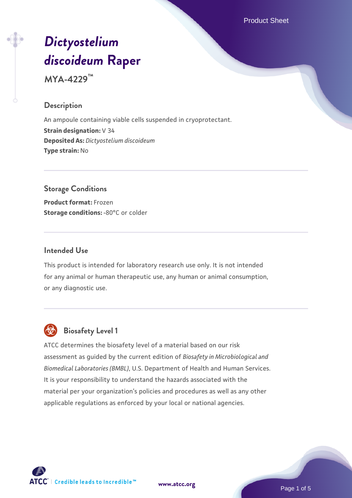Product Sheet

# *[Dictyostelium](https://www.atcc.org/products/mya-4229) [discoideum](https://www.atcc.org/products/mya-4229)* **[Raper](https://www.atcc.org/products/mya-4229)**

**MYA-4229™**

#### **Description**

An ampoule containing viable cells suspended in cryoprotectant. **Strain designation:** V 34 **Deposited As:** *Dictyostelium discoideum* **Type strain:** No

# **Storage Conditions**

**Product format:** Frozen **Storage conditions: -80°C or colder** 

#### **Intended Use**

This product is intended for laboratory research use only. It is not intended for any animal or human therapeutic use, any human or animal consumption, or any diagnostic use.



# **Biosafety Level 1**

ATCC determines the biosafety level of a material based on our risk assessment as guided by the current edition of *Biosafety in Microbiological and Biomedical Laboratories (BMBL)*, U.S. Department of Health and Human Services. It is your responsibility to understand the hazards associated with the material per your organization's policies and procedures as well as any other applicable regulations as enforced by your local or national agencies.



**[www.atcc.org](http://www.atcc.org)**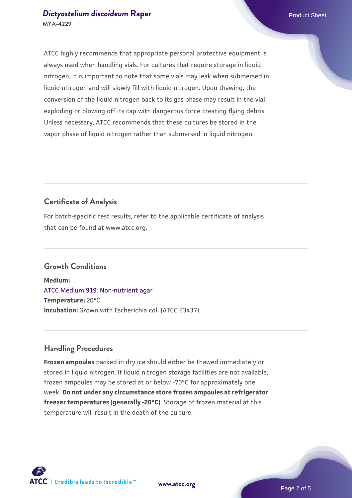#### *[Dictyostelium discoideum](https://www.atcc.org/products/mya-4229)* [Raper](https://www.atcc.org/products/mya-4229) **Product Sheet** Product Sheet **MYA-4229**

ATCC highly recommends that appropriate personal protective equipment is always used when handling vials. For cultures that require storage in liquid nitrogen, it is important to note that some vials may leak when submersed in liquid nitrogen and will slowly fill with liquid nitrogen. Upon thawing, the conversion of the liquid nitrogen back to its gas phase may result in the vial exploding or blowing off its cap with dangerous force creating flying debris. Unless necessary, ATCC recommends that these cultures be stored in the vapor phase of liquid nitrogen rather than submersed in liquid nitrogen.

# **Certificate of Analysis**

For batch-specific test results, refer to the applicable certificate of analysis that can be found at www.atcc.org.

# **Growth Conditions**

**Medium:**  [ATCC Medium 919: Non-nutrient agar](https://www.atcc.org/-/media/product-assets/documents/microbial-media-formulations/9/1/9/atcc-medium-919.pdf?rev=f4e1e31d2b4249c2a4e4c31a4c703c9e) **Temperature:** 20°C **Incubation:** Grown with Escherichia coli (ATCC 23437)

# **Handling Procedures**

**Frozen ampoules** packed in dry ice should either be thawed immediately or stored in liquid nitrogen. If liquid nitrogen storage facilities are not available, frozen ampoules may be stored at or below -70°C for approximately one week. **Do not under any circumstance store frozen ampoules at refrigerator freezer temperatures (generally -20°C)**. Storage of frozen material at this temperature will result in the death of the culture.





**[www.atcc.org](http://www.atcc.org)**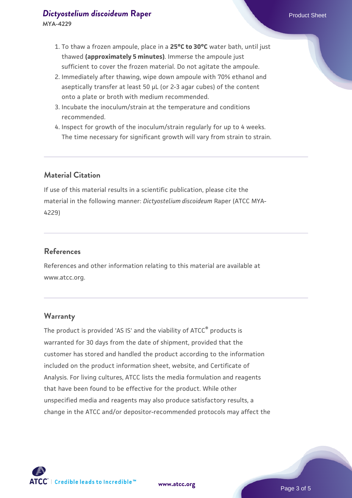- 1. To thaw a frozen ampoule, place in a **25°C to 30°C** water bath, until just thawed **(approximately 5 minutes)**. Immerse the ampoule just sufficient to cover the frozen material. Do not agitate the ampoule.
- 2. Immediately after thawing, wipe down ampoule with 70% ethanol and aseptically transfer at least 50 µL (or 2-3 agar cubes) of the content onto a plate or broth with medium recommended.
- 3. Incubate the inoculum/strain at the temperature and conditions recommended.
- 4. Inspect for growth of the inoculum/strain regularly for up to 4 weeks. The time necessary for significant growth will vary from strain to strain.

# **Material Citation**

If use of this material results in a scientific publication, please cite the material in the following manner: *Dictyostelium discoideum* Raper (ATCC MYA-4229)

#### **References**

References and other information relating to this material are available at www.atcc.org.

#### **Warranty**

The product is provided 'AS IS' and the viability of ATCC® products is warranted for 30 days from the date of shipment, provided that the customer has stored and handled the product according to the information included on the product information sheet, website, and Certificate of Analysis. For living cultures, ATCC lists the media formulation and reagents that have been found to be effective for the product. While other unspecified media and reagents may also produce satisfactory results, a change in the ATCC and/or depositor-recommended protocols may affect the



**[www.atcc.org](http://www.atcc.org)**

Page 3 of 5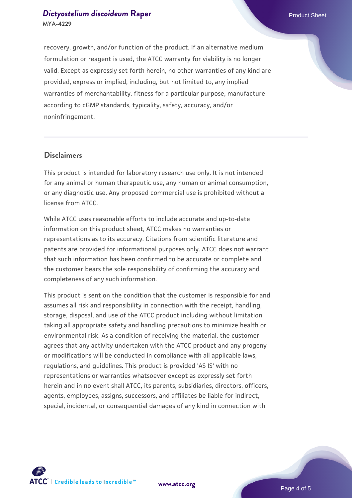### *[Dictyostelium discoideum](https://www.atcc.org/products/mya-4229)* [Raper](https://www.atcc.org/products/mya-4229) **Product Sheet** Product Sheet **MYA-4229**

recovery, growth, and/or function of the product. If an alternative medium formulation or reagent is used, the ATCC warranty for viability is no longer valid. Except as expressly set forth herein, no other warranties of any kind are provided, express or implied, including, but not limited to, any implied warranties of merchantability, fitness for a particular purpose, manufacture according to cGMP standards, typicality, safety, accuracy, and/or noninfringement.

#### **Disclaimers**

This product is intended for laboratory research use only. It is not intended for any animal or human therapeutic use, any human or animal consumption, or any diagnostic use. Any proposed commercial use is prohibited without a license from ATCC.

While ATCC uses reasonable efforts to include accurate and up-to-date information on this product sheet, ATCC makes no warranties or representations as to its accuracy. Citations from scientific literature and patents are provided for informational purposes only. ATCC does not warrant that such information has been confirmed to be accurate or complete and the customer bears the sole responsibility of confirming the accuracy and completeness of any such information.

This product is sent on the condition that the customer is responsible for and assumes all risk and responsibility in connection with the receipt, handling, storage, disposal, and use of the ATCC product including without limitation taking all appropriate safety and handling precautions to minimize health or environmental risk. As a condition of receiving the material, the customer agrees that any activity undertaken with the ATCC product and any progeny or modifications will be conducted in compliance with all applicable laws, regulations, and guidelines. This product is provided 'AS IS' with no representations or warranties whatsoever except as expressly set forth herein and in no event shall ATCC, its parents, subsidiaries, directors, officers, agents, employees, assigns, successors, and affiliates be liable for indirect, special, incidental, or consequential damages of any kind in connection with